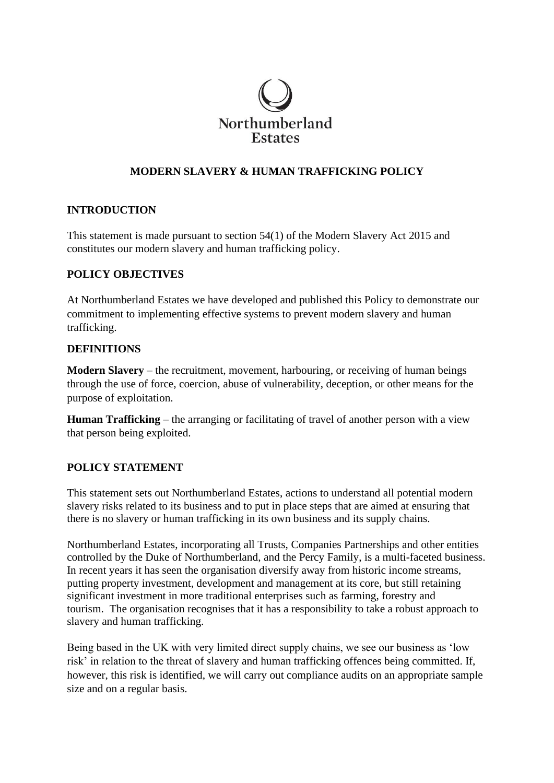

# **MODERN SLAVERY & HUMAN TRAFFICKING POLICY**

## **INTRODUCTION**

This statement is made pursuant to section 54(1) of the Modern Slavery Act 2015 and constitutes our modern slavery and human trafficking policy.

### **POLICY OBJECTIVES**

At Northumberland Estates we have developed and published this Policy to demonstrate our commitment to implementing effective systems to prevent modern slavery and human trafficking.

#### **DEFINITIONS**

**Modern Slavery** – the recruitment, movement, harbouring, or receiving of human beings through the use of force, coercion, abuse of vulnerability, deception, or other means for the purpose of exploitation.

**Human Trafficking** – the arranging or facilitating of travel of another person with a view that person being exploited.

## **POLICY STATEMENT**

This statement sets out Northumberland Estates, actions to understand all potential modern slavery risks related to its business and to put in place steps that are aimed at ensuring that there is no slavery or human trafficking in its own business and its supply chains.

Northumberland Estates, incorporating all Trusts, Companies Partnerships and other entities controlled by the Duke of Northumberland, and the Percy Family, is a multi-faceted business. In recent years it has seen the organisation diversify away from historic income streams, putting property investment, development and management at its core, but still retaining significant investment in more traditional enterprises such as farming, forestry and tourism. The organisation recognises that it has a responsibility to take a robust approach to slavery and human trafficking.

Being based in the UK with very limited direct supply chains, we see our business as 'low risk' in relation to the threat of slavery and human trafficking offences being committed. If, however, this risk is identified, we will carry out compliance audits on an appropriate sample size and on a regular basis.